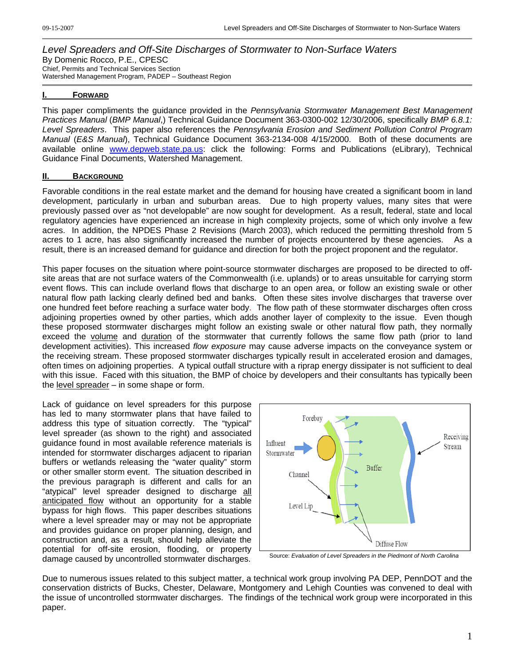#### *Level Spreaders and Off-Site Discharges of Stormwater to Non-Surface Waters* By Domenic Rocco, P.E., CPESC Chief, Permits and Technical Services Section Watershed Management Program, PADEP – Southeast Region

### **I. FORWARD**

This paper compliments the guidance provided in the *Pennsylvania Stormwater Management Best Management Practices Manual* (*BMP Manual*,) Technical Guidance Document 363-0300-002 12/30/2006, specifically *BMP 6.8.1: Level Spreaders*. This paper also references the *Pennsylvania Erosion and Sediment Pollution Control Program Manual* (*E&S Manual*), Technical Guidance Document 363-2134-008 4/15/2000. Both of these documents are available online [www.depweb.state.pa.us](http://www.depweb.state.pa.us/): click the following: Forms and Publications (eLibrary), Technical Guidance Final Documents, Watershed Management.

### **II. BACKGROUND**

Favorable conditions in the real estate market and the demand for housing have created a significant boom in land development, particularly in urban and suburban areas. Due to high property values, many sites that were previously passed over as "not developable" are now sought for development. As a result, federal, state and local regulatory agencies have experienced an increase in high complexity projects, some of which only involve a few acres. In addition, the NPDES Phase 2 Revisions (March 2003), which reduced the permitting threshold from 5 acres to 1 acre, has also significantly increased the number of projects encountered by these agencies. As a result, there is an increased demand for guidance and direction for both the project proponent and the regulator.

This paper focuses on the situation where point-source stormwater discharges are proposed to be directed to offsite areas that are not surface waters of the Commonwealth (i.e. uplands) or to areas unsuitable for carrying storm event flows. This can include overland flows that discharge to an open area, or follow an existing swale or other natural flow path lacking clearly defined bed and banks. Often these sites involve discharges that traverse over one hundred feet before reaching a surface water body. The flow path of these stormwater discharges often cross adjoining properties owned by other parties, which adds another layer of complexity to the issue. Even though these proposed stormwater discharges might follow an existing swale or other natural flow path, they normally exceed the volume and duration of the stormwater that currently follows the same flow path (prior to land development activities). This increased *flow exposure* may cause adverse impacts on the conveyance system or the receiving stream. These proposed stormwater discharges typically result in accelerated erosion and damages, often times on adjoining properties. A typical outfall structure with a riprap energy dissipater is not sufficient to deal with this issue. Faced with this situation, the BMP of choice by developers and their consultants has typically been the level spreader – in some shape or form.

Lack of guidance on level spreaders for this purpose has led to many stormwater plans that have failed to address this type of situation correctly. The "typical" level spreader (as shown to the right) and associated guidance found in most available reference materials is intended for stormwater discharges adjacent to riparian buffers or wetlands releasing the "water quality" storm or other smaller storm event. The situation described in the previous paragraph is different and calls for an "atypical" level spreader designed to discharge all anticipated flow without an opportunity for a stable bypass for high flows. This paper describes situations where a level spreader may or may not be appropriate and provides guidance on proper planning, design, and construction and, as a result, should help alleviate the potential for off-site erosion, flooding, or property damage caused by uncontrolled stormwater discharges. Source: *Evaluation of Level Spreaders in the Piedmont of North Carolina*



Due to numerous issues related to this subject matter, a technical work group involving PA DEP, PennDOT and the conservation districts of Bucks, Chester, Delaware, Montgomery and Lehigh Counties was convened to deal with the issue of uncontrolled stormwater discharges. The findings of the technical work group were incorporated in this paper.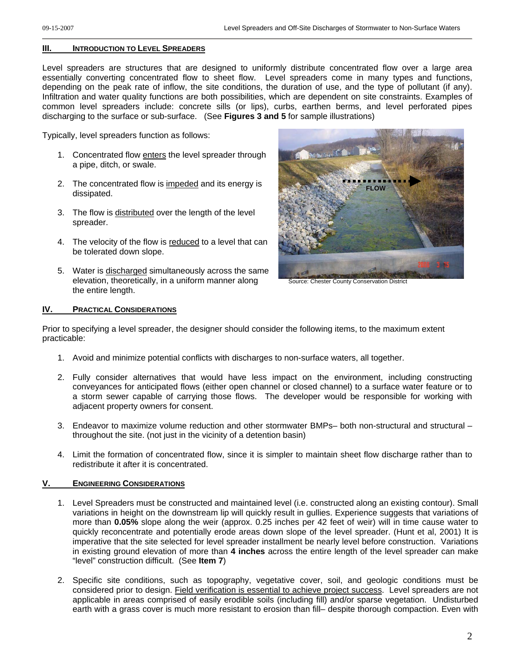### **III. INTRODUCTION TO LEVEL SPREADERS**

Level spreaders are structures that are designed to uniformly distribute concentrated flow over a large area essentially converting concentrated flow to sheet flow. Level spreaders come in many types and functions, depending on the peak rate of inflow, the site conditions, the duration of use, and the type of pollutant (if any). Infiltration and water quality functions are both possibilities, which are dependent on site constraints. Examples of common level spreaders include: concrete sills (or lips), curbs, earthen berms, and level perforated pipes discharging to the surface or sub-surface. (See **Figures 3 and 5** for sample illustrations)

Typically, level spreaders function as follows:

- 1. Concentrated flow enters the level spreader through a pipe, ditch, or swale.
- **FLOW** 2. The concentrated flow is impeded and its energy is dissipated.
- 3. The flow is distributed over the length of the level spreader.
- 4. The velocity of the flow is reduced to a level that can be tolerated down slope.
- 5. Water is discharged simultaneously across the same elevation, theoretically, in a uniform manner along the entire length.



Source: Chester County Conservation District

#### **IV. PRACTICAL CONSIDERATIONS**

Prior to specifying a level spreader, the designer should consider the following items, to the maximum extent practicable:

- 1. Avoid and minimize potential conflicts with discharges to non-surface waters, all together.
- 2. Fully consider alternatives that would have less impact on the environment, including constructing conveyances for anticipated flows (either open channel or closed channel) to a surface water feature or to a storm sewer capable of carrying those flows. The developer would be responsible for working with adjacent property owners for consent.
- 3. Endeavor to maximize volume reduction and other stormwater BMPs– both non-structural and structural throughout the site. (not just in the vicinity of a detention basin)
- 4. Limit the formation of concentrated flow, since it is simpler to maintain sheet flow discharge rather than to redistribute it after it is concentrated.

### **V. ENGINEERING CONSIDERATIONS**

- 1. Level Spreaders must be constructed and maintained level (i.e. constructed along an existing contour). Small variations in height on the downstream lip will quickly result in gullies. Experience suggests that variations of more than **0.05%** slope along the weir (approx. 0.25 inches per 42 feet of weir) will in time cause water to quickly reconcentrate and potentially erode areas down slope of the level spreader. (Hunt et al, 2001) It is imperative that the site selected for level spreader installment be nearly level before construction. Variations in existing ground elevation of more than **4 inches** across the entire length of the level spreader can make "level" construction difficult. (See **Item 7**)
- 2. Specific site conditions, such as topography, vegetative cover, soil, and geologic conditions must be considered prior to design. Field verification is essential to achieve project success. Level spreaders are not applicable in areas comprised of easily erodible soils (including fill) and/or sparse vegetation. Undisturbed earth with a grass cover is much more resistant to erosion than fill– despite thorough compaction. Even with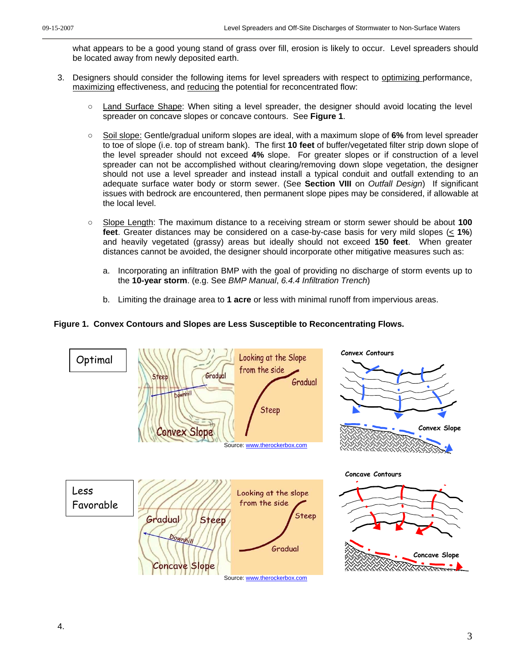what appears to be a good young stand of grass over fill, erosion is likely to occur. Level spreaders should be located away from newly deposited earth.

- 3. Designers should consider the following items for level spreaders with respect to optimizing performance, maximizing effectiveness, and reducing the potential for reconcentrated flow:
	- Land Surface Shape: When siting a level spreader, the designer should avoid locating the level spreader on concave slopes or concave contours. See **Figure 1**.
	- Soil slope: Gentle/gradual uniform slopes are ideal, with a maximum slope of 6% from level spreader to toe of slope (i.e. top of stream bank). The first **10 feet** of buffer/vegetated filter strip down slope of the level spreader should not exceed **4%** slope. For greater slopes or if construction of a level spreader can not be accomplished without clearing/removing down slope vegetation, the designer should not use a level spreader and instead install a typical conduit and outfall extending to an adequate surface water body or storm sewer. (See **Section VIII** on *Outfall Design*) If significant issues with bedrock are encountered, then permanent slope pipes may be considered, if allowable at the local level.
	- Slope Length: The maximum distance to a receiving stream or storm sewer should be about **100 feet**. Greater distances may be considered on a case-by-case basis for very mild slopes (< **1%**) and heavily vegetated (grassy) areas but ideally should not exceed **150 feet**. When greater distances cannot be avoided, the designer should incorporate other mitigative measures such as:
		- a. Incorporating an infiltration BMP with the goal of providing no discharge of storm events up to the **10-year storm**. (e.g. See *BMP Manual*, *6.4.4 Infiltration Trench*)
		- b. Limiting the drainage area to **1 acre** or less with minimal runoff from impervious areas.

### **Figure 1. Convex Contours and Slopes are Less Susceptible to Reconcentrating Flows.**

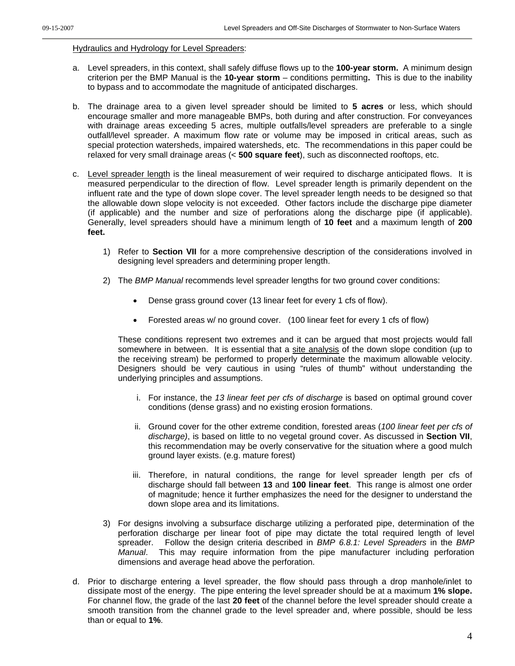#### Hydraulics and Hydrology for Level Spreaders:

- a. Level spreaders, in this context, shall safely diffuse flows up to the **100-year storm.** A minimum design criterion per the BMP Manual is the **10-year storm** – conditions permitting**.** This is due to the inability to bypass and to accommodate the magnitude of anticipated discharges.
- b. The drainage area to a given level spreader should be limited to **5 acres** or less, which should encourage smaller and more manageable BMPs, both during and after construction. For conveyances with drainage areas exceeding 5 acres, multiple outfalls/level spreaders are preferable to a single outfall/level spreader. A maximum flow rate or volume may be imposed in critical areas, such as special protection watersheds, impaired watersheds, etc. The recommendations in this paper could be relaxed for very small drainage areas (< **500 square feet**), such as disconnected rooftops, etc.
- c. Level spreader length is the lineal measurement of weir required to discharge anticipated flows. It is measured perpendicular to the direction of flow. Level spreader length is primarily dependent on the influent rate and the type of down slope cover. The level spreader length needs to be designed so that the allowable down slope velocity is not exceeded. Other factors include the discharge pipe diameter (if applicable) and the number and size of perforations along the discharge pipe (if applicable). Generally, level spreaders should have a minimum length of **10 feet** and a maximum length of **200 feet.**
	- 1) Refer to **Section VII** for a more comprehensive description of the considerations involved in designing level spreaders and determining proper length.
	- 2) The *BMP Manual* recommends level spreader lengths for two ground cover conditions:
		- Dense grass ground cover (13 linear feet for every 1 cfs of flow).
		- Forested areas w/ no ground cover. (100 linear feet for every 1 cfs of flow)

These conditions represent two extremes and it can be argued that most projects would fall somewhere in between. It is essential that a site analysis of the down slope condition (up to the receiving stream) be performed to properly determinate the maximum allowable velocity. Designers should be very cautious in using "rules of thumb" without understanding the underlying principles and assumptions.

- i. For instance, the *13 linear feet per cfs of discharge* is based on optimal ground cover conditions (dense grass) and no existing erosion formations.
- ii. Ground cover for the other extreme condition, forested areas (*100 linear feet per cfs of discharge)*, is based on little to no vegetal ground cover. As discussed in **Section VII**, this recommendation may be overly conservative for the situation where a good mulch ground layer exists. (e.g. mature forest)
- iii. Therefore, in natural conditions, the range for level spreader length per cfs of discharge should fall between **13** and **100 linear feet**. This range is almost one order of magnitude; hence it further emphasizes the need for the designer to understand the down slope area and its limitations.
- 3) For designs involving a subsurface discharge utilizing a perforated pipe, determination of the perforation discharge per linear foot of pipe may dictate the total required length of level spreader. Follow the design criteria described in *BMP 6.8.1: Level Spreaders* in the *BMP Manual*. This may require information from the pipe manufacturer including perforation dimensions and average head above the perforation.
- d. Prior to discharge entering a level spreader, the flow should pass through a drop manhole/inlet to dissipate most of the energy. The pipe entering the level spreader should be at a maximum **1% slope.** For channel flow, the grade of the last **20 feet** of the channel before the level spreader should create a smooth transition from the channel grade to the level spreader and, where possible, should be less than or equal to **1%**.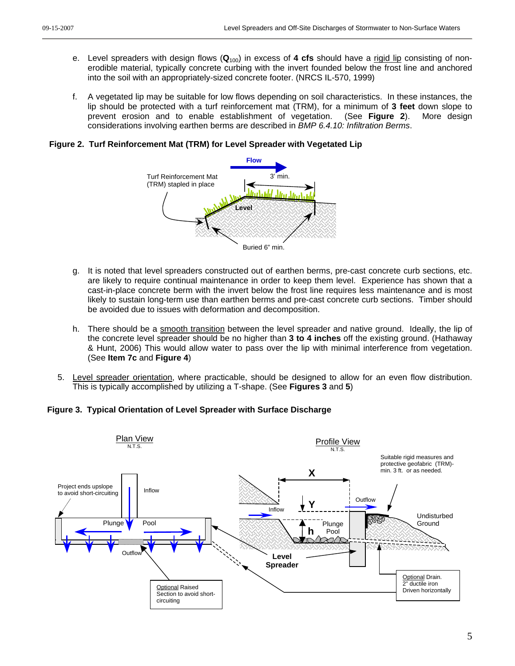- e. Level spreaders with design flows (**Q**100) in excess of **4 cfs** should have a rigid lip consisting of nonerodible material, typically concrete curbing with the invert founded below the frost line and anchored into the soil with an appropriately-sized concrete footer. (NRCS IL-570, 1999)
- f. A vegetated lip may be suitable for low flows depending on soil characteristics. In these instances, the lip should be protected with a turf reinforcement mat (TRM), for a minimum of **3 feet** down slope to prevent erosion and to enable establishment of vegetation. (See **Figure 2**). More design considerations involving earthen berms are described in *BMP 6.4.10: Infiltration Berms*.

**Figure 2. Turf Reinforcement Mat (TRM) for Level Spreader with Vegetated Lip** 



- g. It is noted that level spreaders constructed out of earthen berms, pre-cast concrete curb sections, etc. are likely to require continual maintenance in order to keep them level. Experience has shown that a cast-in-place concrete berm with the invert below the frost line requires less maintenance and is most likely to sustain long-term use than earthen berms and pre-cast concrete curb sections. Timber should be avoided due to issues with deformation and decomposition.
- h. There should be a smooth transition between the level spreader and native ground. Ideally, the lip of the concrete level spreader should be no higher than **3 to 4 inches** off the existing ground. (Hathaway & Hunt, 2006) This would allow water to pass over the lip with minimal interference from vegetation. (See **Item 7c** and **Figure 4**)
- 5. Level spreader orientation, where practicable, should be designed to allow for an even flow distribution. This is typically accomplished by utilizing a T-shape. (See **Figures 3** and **5**)

**Figure 3. Typical Orientation of Level Spreader with Surface Discharge** 

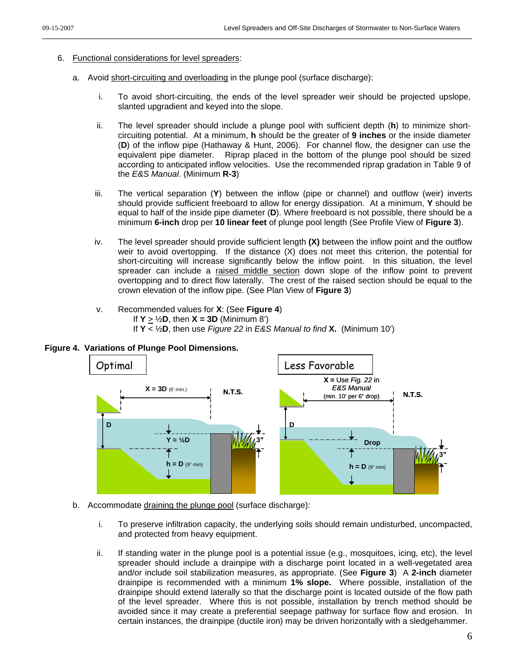- 6. Functional considerations for level spreaders:
	- a. Avoid short-circuiting and overloading in the plunge pool (surface discharge):
		- i. To avoid short-circuiting, the ends of the level spreader weir should be projected upslope, slanted upgradient and keyed into the slope.
		- ii. The level spreader should include a plunge pool with sufficient depth (**h**) to minimize shortcircuiting potential. At a minimum, **h** should be the greater of **9 inches** or the inside diameter (**D**) of the inflow pipe (Hathaway & Hunt, 2006). For channel flow, the designer can use the equivalent pipe diameter. Riprap placed in the bottom of the plunge pool should be sized according to anticipated inflow velocities. Use the recommended riprap gradation in Table 9 of the *E&S Manual*. (Minimum **R-3**)
		- iii. The vertical separation (**Y**) between the inflow (pipe or channel) and outflow (weir) inverts should provide sufficient freeboard to allow for energy dissipation. At a minimum, **Y** should be equal to half of the inside pipe diameter (**D**). Where freeboard is not possible, there should be a minimum **6-inch** drop per **10 linear feet** of plunge pool length (See Profile View of **Figure 3**).
		- iv. The level spreader should provide sufficient length **(X)** between the inflow point and the outflow weir to avoid overtopping. If the distance (X) does not meet this criterion, the potential for short-circuiting will increase significantly below the inflow point. In this situation, the level spreader can include a raised middle section down slope of the inflow point to prevent overtopping and to direct flow laterally. The crest of the raised section should be equal to the crown elevation of the inflow pipe. (See Plan View of **Figure 3**)
		- v. Recommended values for **X**: (See **Figure 4**) If  $Y > \frac{1}{2}D$ , then  $X = 3D$  (Minimum 8')
			- If **Y** < ½**D**, then use *Figure 22* in *E&S Manual to find* **X.** (Minimum 10')





- b. Accommodate draining the plunge pool (surface discharge):
	- i. To preserve infiltration capacity, the underlying soils should remain undisturbed, uncompacted, and protected from heavy equipment.
	- ii. If standing water in the plunge pool is a potential issue (e.g., mosquitoes, icing, etc), the level spreader should include a drainpipe with a discharge point located in a well-vegetated area and/or include soil stabilization measures, as appropriate. (See **Figure 3**) A **2-inch** diameter drainpipe is recommended with a minimum **1% slope.** Where possible, installation of the drainpipe should extend laterally so that the discharge point is located outside of the flow path of the level spreader. Where this is not possible, installation by trench method should be avoided since it may create a preferential seepage pathway for surface flow and erosion. In certain instances, the drainpipe (ductile iron) may be driven horizontally with a sledgehammer.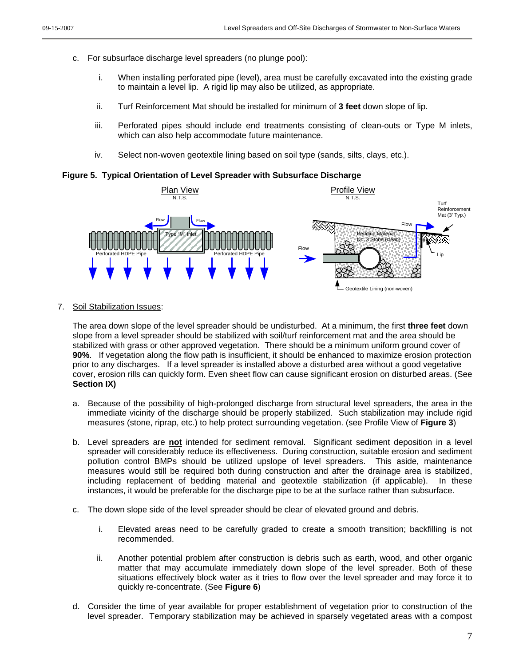- c. For subsurface discharge level spreaders (no plunge pool):
	- i. When installing perforated pipe (level), area must be carefully excavated into the existing grade to maintain a level lip. A rigid lip may also be utilized, as appropriate.
	- ii. Turf Reinforcement Mat should be installed for minimum of **3 feet** down slope of lip.
	- iii. Perforated pipes should include end treatments consisting of clean-outs or Type M inlets, which can also help accommodate future maintenance.
	- iv. Select non-woven geotextile lining based on soil type (sands, silts, clays, etc.).

**Figure 5. Typical Orientation of Level Spreader with Subsurface Discharge**



7. Soil Stabilization Issues:

The area down slope of the level spreader should be undisturbed. At a minimum, the first **three feet** down slope from a level spreader should be stabilized with soil/turf reinforcement mat and the area should be stabilized with grass or other approved vegetation. There should be a minimum uniform ground cover of **90%**. If vegetation along the flow path is insufficient, it should be enhanced to maximize erosion protection prior to any discharges. If a level spreader is installed above a disturbed area without a good vegetative cover, erosion rills can quickly form. Even sheet flow can cause significant erosion on disturbed areas. (See **Section IX)**

- a. Because of the possibility of high-prolonged discharge from structural level spreaders, the area in the immediate vicinity of the discharge should be properly stabilized. Such stabilization may include rigid measures (stone, riprap, etc.) to help protect surrounding vegetation. (see Profile View of **Figure 3**)
- b. Level spreaders are **not** intended for sediment removal. Significant sediment deposition in a level spreader will considerably reduce its effectiveness. During construction, suitable erosion and sediment pollution control BMPs should be utilized upslope of level spreaders. This aside, maintenance measures would still be required both during construction and after the drainage area is stabilized, including replacement of bedding material and geotextile stabilization (if applicable). In these instances, it would be preferable for the discharge pipe to be at the surface rather than subsurface.
- c. The down slope side of the level spreader should be clear of elevated ground and debris.
	- i. Elevated areas need to be carefully graded to create a smooth transition; backfilling is not recommended.
	- ii. Another potential problem after construction is debris such as earth, wood, and other organic matter that may accumulate immediately down slope of the level spreader. Both of these situations effectively block water as it tries to flow over the level spreader and may force it to quickly re-concentrate. (See **Figure 6**)
- d. Consider the time of year available for proper establishment of vegetation prior to construction of the level spreader. Temporary stabilization may be achieved in sparsely vegetated areas with a compost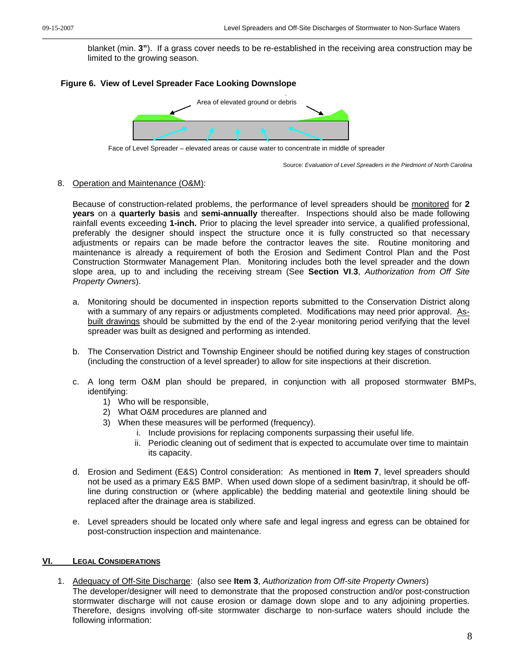blanket (min. **3"**). If a grass cover needs to be re-established in the receiving area construction may be limited to the growing season.

### **Figure 6. View of Level Spreader Face Looking Downslope**



Face of Level Spreader – elevated areas or cause water to concentrate in middle of spreader

Source: *Evaluation of Level Spreaders in the Piedmont of North Carolina* 

#### 8. Operation and Maintenance (O&M):

Because of construction-related problems, the performance of level spreaders should be monitored for **2 years** on a **quarterly basis** and **semi-annually** thereafter.Inspections should also be made following rainfall events exceeding **1-inch.** Prior to placing the level spreader into service, a qualified professional, preferably the designer should inspect the structure once it is fully constructed so that necessary adjustments or repairs can be made before the contractor leaves the site. Routine monitoring and maintenance is already a requirement of both the Erosion and Sediment Control Plan and the Post Construction Stormwater Management Plan. Monitoring includes both the level spreader and the down slope area, up to and including the receiving stream (See **Section VI**.**3**, *Authorization from Off Site Property Owners*).

- a. Monitoring should be documented in inspection reports submitted to the Conservation District along with a summary of any repairs or adjustments completed. Modifications may need prior approval. Asbuilt drawings should be submitted by the end of the 2-year monitoring period verifying that the level spreader was built as designed and performing as intended.
- b. The Conservation District and Township Engineer should be notified during key stages of construction (including the construction of a level spreader) to allow for site inspections at their discretion.
- c. A long term O&M plan should be prepared, in conjunction with all proposed stormwater BMPs, identifying:
	- 1) Who will be responsible,
	- 2) What O&M procedures are planned and
	- 3) When these measures will be performed (frequency).
		- i. Include provisions for replacing components surpassing their useful life.
		- ii. Periodic cleaning out of sediment that is expected to accumulate over time to maintain its capacity.
- d. Erosion and Sediment (E&S) Control consideration: As mentioned in **Item 7**, level spreaders should not be used as a primary E&S BMP. When used down slope of a sediment basin/trap, it should be offline during construction or (where applicable) the bedding material and geotextile lining should be replaced after the drainage area is stabilized.
- e. Level spreaders should be located only where safe and legal ingress and egress can be obtained for post-construction inspection and maintenance.

#### **VI. LEGAL CONSIDERATIONS**

1. Adequacy of Off-Site Discharge: (also see **Item 3**, *Authorization from Off-site Property Owners*) The developer/designer will need to demonstrate that the proposed construction and/or post-construction stormwater discharge will not cause erosion or damage down slope and to any adjoining properties. Therefore, designs involving off-site stormwater discharge to non-surface waters should include the following information: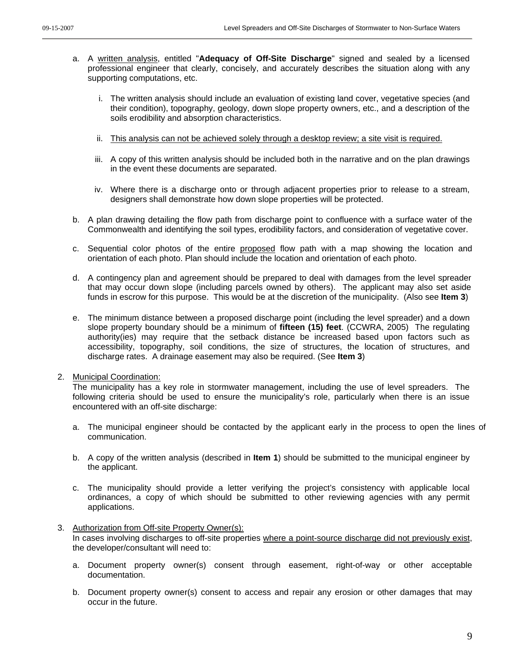- a. A written analysis, entitled "**Adequacy of Off-Site Discharge**" signed and sealed by a licensed professional engineer that clearly, concisely, and accurately describes the situation along with any supporting computations, etc.
	- i. The written analysis should include an evaluation of existing land cover, vegetative species (and their condition), topography, geology, down slope property owners, etc., and a description of the soils erodibility and absorption characteristics.
	- ii. This analysis can not be achieved solely through a desktop review; a site visit is required.
	- iii. A copy of this written analysis should be included both in the narrative and on the plan drawings in the event these documents are separated.
	- iv. Where there is a discharge onto or through adjacent properties prior to release to a stream, designers shall demonstrate how down slope properties will be protected.
- b. A plan drawing detailing the flow path from discharge point to confluence with a surface water of the Commonwealth and identifying the soil types, erodibility factors, and consideration of vegetative cover.
- c. Sequential color photos of the entire proposed flow path with a map showing the location and orientation of each photo. Plan should include the location and orientation of each photo.
- d. A contingency plan and agreement should be prepared to deal with damages from the level spreader that may occur down slope (including parcels owned by others). The applicant may also set aside funds in escrow for this purpose. This would be at the discretion of the municipality. (Also see **Item 3**)
- e. The minimum distance between a proposed discharge point (including the level spreader) and a down slope property boundary should be a minimum of **fifteen (15) feet**. (CCWRA, 2005) The regulating authority(ies) may require that the setback distance be increased based upon factors such as accessibility, topography, soil conditions, the size of structures, the location of structures, and discharge rates. A drainage easement may also be required. (See **Item 3**)

#### 2. Municipal Coordination:

The municipality has a key role in stormwater management, including the use of level spreaders. The following criteria should be used to ensure the municipality's role, particularly when there is an issue encountered with an off-site discharge:

- a. The municipal engineer should be contacted by the applicant early in the process to open the lines of communication.
- b. A copy of the written analysis (described in **Item 1**) should be submitted to the municipal engineer by the applicant.
- c. The municipality should provide a letter verifying the project's consistency with applicable local ordinances, a copy of which should be submitted to other reviewing agencies with any permit applications.

### 3. Authorization from Off-site Property Owner(s):

In cases involving discharges to off-site properties where a point-source discharge did not previously exist, the developer/consultant will need to:

- a. Document property owner(s) consent through easement, right-of-way or other acceptable documentation.
- b. Document property owner(s) consent to access and repair any erosion or other damages that may occur in the future.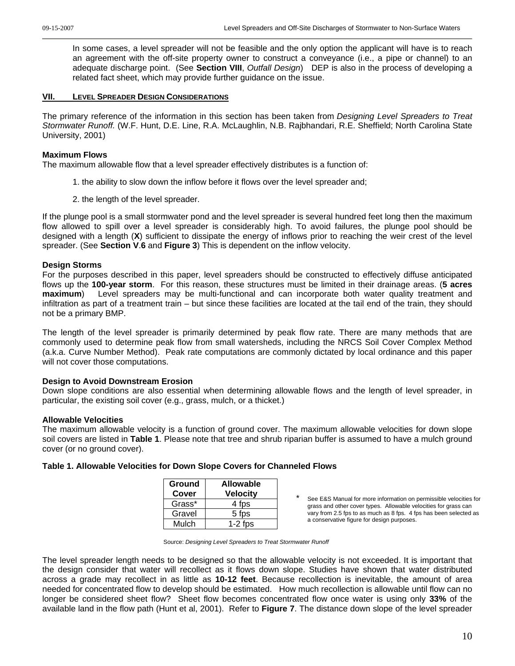In some cases, a level spreader will not be feasible and the only option the applicant will have is to reach an agreement with the off-site property owner to construct a conveyance (i.e., a pipe or channel) to an adequate discharge point. (See **Section VIII**, *Outfall Design*) DEP is also in the process of developing a related fact sheet, which may provide further guidance on the issue.

#### **VII. LEVEL SPREADER DESIGN CONSIDERATIONS**

The primary reference of the information in this section has been taken from *Designing Level Spreaders to Treat Stormwater Runoff.* (W.F. Hunt, D.E. Line, R.A. McLaughlin, N.B. Rajbhandari, R.E. Sheffield; North Carolina State University, 2001)

### **Maximum Flows**

The maximum allowable flow that a level spreader effectively distributes is a function of:

- 1. the ability to slow down the inflow before it flows over the level spreader and;
- 2. the length of the level spreader.

If the plunge pool is a small stormwater pond and the level spreader is several hundred feet long then the maximum flow allowed to spill over a level spreader is considerably high. To avoid failures, the plunge pool should be designed with a length (**X**) sufficient to dissipate the energy of inflows prior to reaching the weir crest of the level spreader. (See **Section V**.**6** and **Figure 3**) This is dependent on the inflow velocity.

### **Design Storms**

For the purposes described in this paper, level spreaders should be constructed to effectively diffuse anticipated flows up the **100-year storm**. For this reason, these structures must be limited in their drainage areas. (**5 acres maximum**) Level spreaders may be multi-functional and can incorporate both water quality treatment and infiltration as part of a treatment train – but since these facilities are located at the tail end of the train, they should not be a primary BMP.

The length of the level spreader is primarily determined by peak flow rate. There are many methods that are commonly used to determine peak flow from small watersheds, including the NRCS Soil Cover Complex Method (a.k.a. Curve Number Method). Peak rate computations are commonly dictated by local ordinance and this paper will not cover those computations.

### **Design to Avoid Downstream Erosion**

Down slope conditions are also essential when determining allowable flows and the length of level spreader, in particular, the existing soil cover (e.g., grass, mulch, or a thicket.)

### **Allowable Velocities**

The maximum allowable velocity is a function of ground cover. The maximum allowable velocities for down slope soil covers are listed in **Table 1**. Please note that tree and shrub riparian buffer is assumed to have a mulch ground cover (or no ground cover).

| <b>Ground</b><br>Cover | <b>Allowable</b><br><b>Velocity</b> |
|------------------------|-------------------------------------|
| Grass*                 | 4 fps                               |
| Gravel                 | 5 fps                               |
| Mulch                  | $1-2$ fps                           |

**Table 1. Allowable Velocities for Down Slope Covers for Channeled Flows**

See E&S Manual for more information on permissible velocities for grass and other cover types. Allowable velocities for grass can vary from 2.5 fps to as much as 8 fps. 4 fps has been selected as a conservative figure for design purposes.

Source: *Designing Level Spreaders to Treat Stormwater Runoff* 

The level spreader length needs to be designed so that the allowable velocity is not exceeded. It is important that the design consider that water will recollect as it flows down slope. Studies have shown that water distributed across a grade may recollect in as little as **10-12 feet**. Because recollection is inevitable, the amount of area needed for concentrated flow to develop should be estimated. How much recollection is allowable until flow can no longer be considered sheet flow? Sheet flow becomes concentrated flow once water is using only **33%** of the available land in the flow path (Hunt et al, 2001). Refer to **Figure 7**. The distance down slope of the level spreader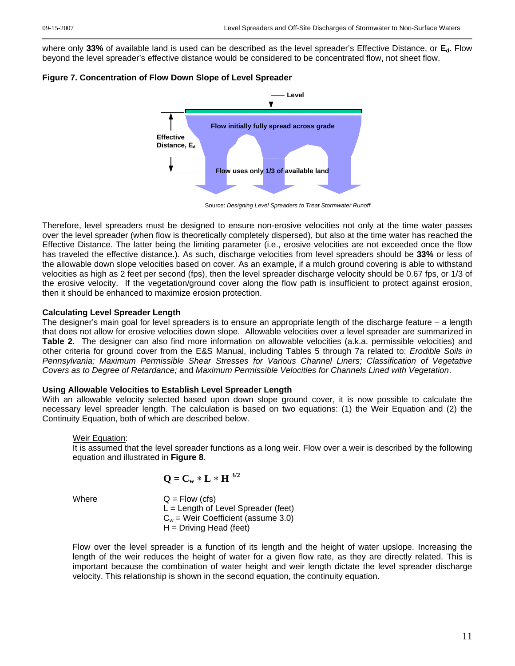where only **33%** of available land is used can be described as the level spreader's Effective Distance, or **Ed**. Flow beyond the level spreader's effective distance would be considered to be concentrated flow, not sheet flow.





Source: *Designing Level Spreaders to Treat Stormwater Runoff* 

Therefore, level spreaders must be designed to ensure non-erosive velocities not only at the time water passes over the level spreader (when flow is theoretically completely dispersed), but also at the time water has reached the Effective Distance. The latter being the limiting parameter (i.e., erosive velocities are not exceeded once the flow has traveled the effective distance.). As such, discharge velocities from level spreaders should be **33%** or less of the allowable down slope velocities based on cover. As an example, if a mulch ground covering is able to withstand velocities as high as 2 feet per second (fps), then the level spreader discharge velocity should be 0.67 fps, or 1/3 of the erosive velocity. If the vegetation/ground cover along the flow path is insufficient to protect against erosion, then it should be enhanced to maximize erosion protection.

### **Calculating Level Spreader Length**

The designer's main goal for level spreaders is to ensure an appropriate length of the discharge feature – a length that does not allow for erosive velocities down slope. Allowable velocities over a level spreader are summarized in **Table 2**. The designer can also find more information on allowable velocities (a.k.a. permissible velocities) and other criteria for ground cover from the E&S Manual, including Tables 5 through 7a related to: *Erodible Soils in Pennsylvania; Maximum Permissible Shear Stresses for Various Channel Liners; Classification of Vegetative Covers as to Degree of Retardance;* and *Maximum Permissible Velocities for Channels Lined with Vegetation*.

### **Using Allowable Velocities to Establish Level Spreader Length**

With an allowable velocity selected based upon down slope ground cover, it is now possible to calculate the necessary level spreader length. The calculation is based on two equations: (1) the Weir Equation and (2) the Continuity Equation, both of which are described below.

### Weir Equation:

It is assumed that the level spreader functions as a long weir. Flow over a weir is described by the following equation and illustrated in **Figure 8**.

$$
\mathbf{Q} = \mathbf{C_w} * \mathbf{L} * \mathbf{H}^{3/2}
$$

Where  $Q = Flow (cfs)$  $L =$  Length of Level Spreader (feet)  $C_w$  = Weir Coefficient (assume 3.0)  $H =$  Driving Head (feet)

Flow over the level spreader is a function of its length and the height of water upslope. Increasing the length of the weir reduces the height of water for a given flow rate, as they are directly related. This is important because the combination of water height and weir length dictate the level spreader discharge velocity. This relationship is shown in the second equation, the continuity equation.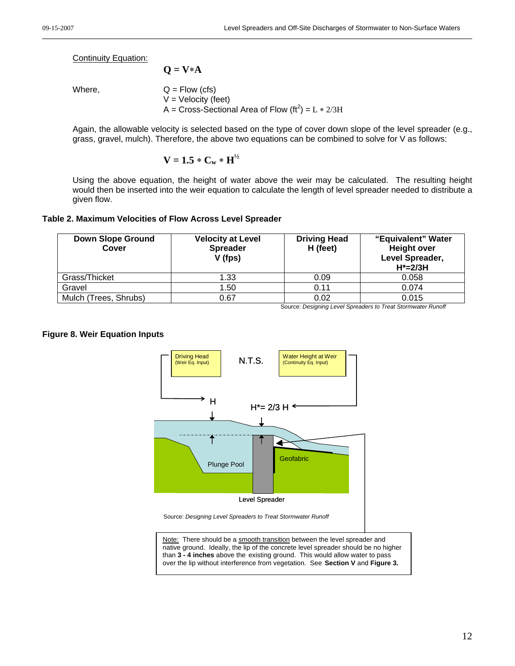Continuity Equation:

Where,  $Q = Flow (cfs)$  $V =$  Velocity (feet) A = Cross-Sectional Area of Flow  $(rt^2) = L * 2/3H$ 

Again, the allowable velocity is selected based on the type of cover down slope of the level spreader (e.g., grass, gravel, mulch). Therefore, the above two equations can be combined to solve for V as follows:

$$
V=1.5\ast C_w\ast H^{\text{1/2}}
$$

**Q = V**∗**A** 

Using the above equation, the height of water above the weir may be calculated. The resulting height would then be inserted into the weir equation to calculate the length of level spreader needed to distribute a given flow.

### **Table 2. Maximum Velocities of Flow Across Level Spreader**

| <b>Down Slope Ground</b><br>Cover | <b>Velocity at Level</b><br><b>Spreader</b><br>V (fps) | <b>Driving Head</b><br>H (feet) | "Equivalent" Water<br><b>Height over</b><br>Level Spreader,<br>$H^* = 2/3H$ |
|-----------------------------------|--------------------------------------------------------|---------------------------------|-----------------------------------------------------------------------------|
| Grass/Thicket                     | 1.33                                                   | 0.09                            | 0.058                                                                       |
| Gravel                            | 1.50                                                   | 0.11                            | 0.074                                                                       |
| Mulch (Trees, Shrubs)             | 0.67                                                   | 0.02                            | 0.015                                                                       |

Source: *Designing Level Spreaders to Treat Stormwater Runoff* 

### **Figure 8. Weir Equation Inputs**



than **3 - 4 inches** above the existing ground. This would allow water to pass over the lip without interference from vegetation. See **Section V** and **Figure 3.**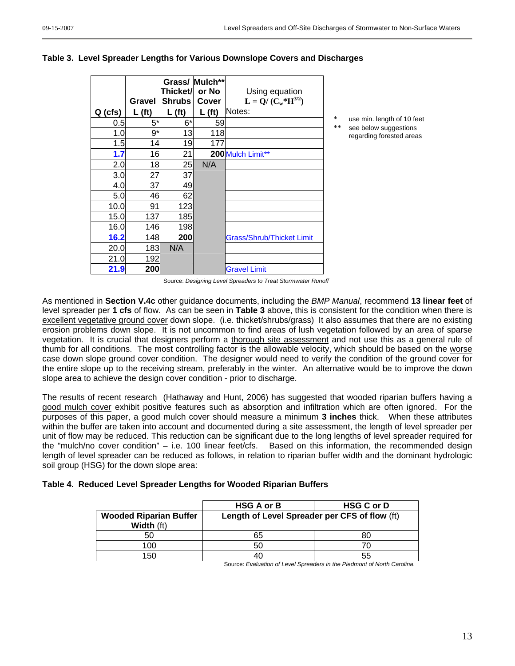|           | Gravel             | Thicket/ or No<br><b>Shrubs</b> | Grass/ Mulch**<br>Cover | Using equation<br>$L = Q/(C_w * H^{3/2})$ |         |                                                   |
|-----------|--------------------|---------------------------------|-------------------------|-------------------------------------------|---------|---------------------------------------------------|
| $Q$ (cfs) | L(f <sub>t</sub> ) | L(f <sub>t</sub> )              | L(f <sub>t</sub> )      | Notes:                                    |         |                                                   |
| 0.5       | $5*$               | $6*$                            | 59                      |                                           | *<br>** | use min. length of 10 feet                        |
| 1.0       | 9*                 | 13                              | 118                     |                                           |         | see below suggestions<br>regarding forested areas |
| 1.5       | 14                 | 19                              | 177                     |                                           |         |                                                   |
| 1.7       | 16                 | 21                              |                         | 200 Mulch Limit**                         |         |                                                   |
| 2.0       | 18                 | 25                              | N/A                     |                                           |         |                                                   |
| 3.0       | 27                 | 37                              |                         |                                           |         |                                                   |
| 4.0       | 37                 | 49                              |                         |                                           |         |                                                   |
| 5.0       | 46                 | 62                              |                         |                                           |         |                                                   |
| 10.0      | 91                 | 123                             |                         |                                           |         |                                                   |
| 15.0      | 137                | 185                             |                         |                                           |         |                                                   |
| 16.0      | 146                | 198                             |                         |                                           |         |                                                   |
| 16.2      | 148                | 200                             |                         | <b>Grass/Shrub/Thicket Limit</b>          |         |                                                   |
| 20.0      | 183                | N/A                             |                         |                                           |         |                                                   |
| 21.0      | 192                |                                 |                         |                                           |         |                                                   |
| 21.9      | 200                |                                 |                         | <b>Gravel Limit</b>                       |         |                                                   |

#### **Table 3. Level Spreader Lengths for Various Downslope Covers and Discharges**

Source: *Designing Level Spreaders to Treat Stormwater Runoff* 

As mentioned in **Section V.4c** other guidance documents, including the *BMP Manual*, recommend **13 linear feet** of level spreader per **1 cfs** of flow. As can be seen in **Table 3** above, this is consistent for the condition when there is excellent vegetative ground cover down slope. (i.e. thicket/shrubs/grass) It also assumes that there are no existing erosion problems down slope. It is not uncommon to find areas of lush vegetation followed by an area of sparse vegetation. It is crucial that designers perform a thorough site assessment and not use this as a general rule of thumb for all conditions. The most controlling factor is the allowable velocity, which should be based on the worse case down slope ground cover condition. The designer would need to verify the condition of the ground cover for the entire slope up to the receiving stream, preferably in the winter. An alternative would be to improve the down slope area to achieve the design cover condition - prior to discharge.

The results of recent research (Hathaway and Hunt, 2006) has suggested that wooded riparian buffers having a good mulch cover exhibit positive features such as absorption and infiltration which are often ignored. For the purposes of this paper, a good mulch cover should measure a minimum **3 inches** thick. When these attributes within the buffer are taken into account and documented during a site assessment, the length of level spreader per unit of flow may be reduced. This reduction can be significant due to the long lengths of level spreader required for the "mulch/no cover condition" – i.e. 100 linear feet/cfs. Based on this information, the recommended design length of level spreader can be reduced as follows, in relation to riparian buffer width and the dominant hydrologic soil group (HSG) for the down slope area:

### **Table 4. Reduced Level Spreader Lengths for Wooded Riparian Buffers**

|                                             | <b>HSG A or B</b>                             | <b>HSG C or D</b> |
|---------------------------------------------|-----------------------------------------------|-------------------|
| <b>Wooded Riparian Buffer</b><br>Width (ft) | Length of Level Spreader per CFS of flow (ft) |                   |
| 50                                          | 65                                            | 80                |
| 100                                         | 50                                            |                   |
| 150                                         |                                               | 55                |

Source: *Evaluation of Level Spreaders in the Piedmont of North Carolina*.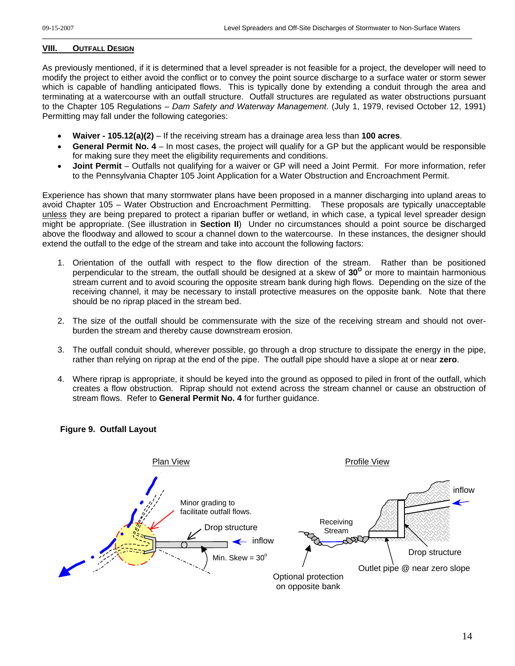### **VIII. OUTFALL DESIGN**

As previously mentioned, if it is determined that a level spreader is not feasible for a project, the developer will need to modify the project to either avoid the conflict or to convey the point source discharge to a surface water or storm sewer which is capable of handling anticipated flows. This is typically done by extending a conduit through the area and terminating at a watercourse with an outfall structure. Outfall structures are regulated as water obstructions pursuant to the Chapter 105 Regulations – *Dam Safety and Waterway Management*. (July 1, 1979, revised October 12, 1991) Permitting may fall under the following categories:

- **Waiver 105.12(a)(2)** If the receiving stream has a drainage area less than **100 acres**.
- **General Permit No. 4** In most cases, the project will qualify for a GP but the applicant would be responsible for making sure they meet the eligibility requirements and conditions.
- **Joint Permit** Outfalls not qualifying for a waiver or GP will need a Joint Permit. For more information, refer to the Pennsylvania Chapter 105 Joint Application for a Water Obstruction and Encroachment Permit.

Experience has shown that many stormwater plans have been proposed in a manner discharging into upland areas to avoid Chapter 105 – Water Obstruction and Encroachment Permitting. These proposals are typically unacceptable unless they are being prepared to protect a riparian buffer or wetland, in which case, a typical level spreader design might be appropriate. (See illustration in **Section II**) Under no circumstances should a point source be discharged above the floodway and allowed to scour a channel down to the watercourse. In these instances, the designer should extend the outfall to the edge of the stream and take into account the following factors:

- 1. Orientation of the outfall with respect to the flow direction of the stream. Rather than be positioned perpendicular to the stream, the outfall should be designed at a skew of 30<sup>°</sup> or more to maintain harmonious stream current and to avoid scouring the opposite stream bank during high flows. Depending on the size of the receiving channel, it may be necessary to install protective measures on the opposite bank. Note that there should be no riprap placed in the stream bed.
- 2. The size of the outfall should be commensurate with the size of the receiving stream and should not overburden the stream and thereby cause downstream erosion.
- 3. The outfall conduit should, wherever possible, go through a drop structure to dissipate the energy in the pipe, rather than relying on riprap at the end of the pipe. The outfall pipe should have a slope at or near **zero**.
- 4. Where riprap is appropriate, it should be keyed into the ground as opposed to piled in front of the outfall, which creates a flow obstruction. Riprap should not extend across the stream channel or cause an obstruction of stream flows. Refer to **General Permit No. 4** for further guidance.

**Figure 9. Outfall Layout** 

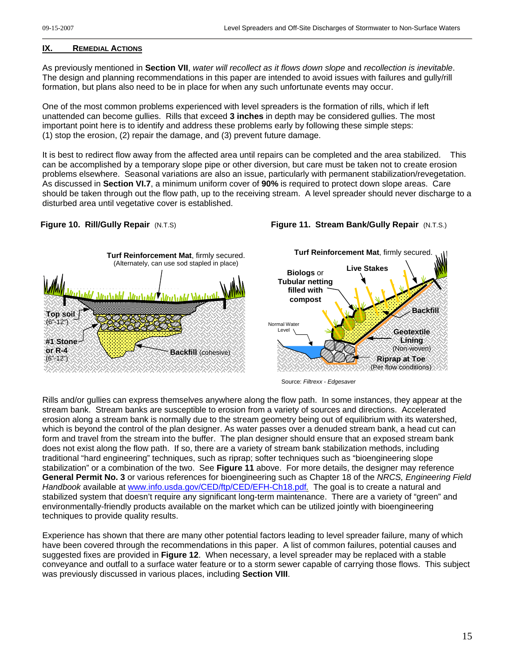#### **IX. REMEDIAL ACTIONS**

As previously mentioned in **Section VII**, *water will recollect as it flows down slope* and *recollection is inevitable*. The design and planning recommendations in this paper are intended to avoid issues with failures and gully/rill formation, but plans also need to be in place for when any such unfortunate events may occur.

One of the most common problems experienced with level spreaders is the formation of rills, which if left unattended can become gullies. Rills that exceed **3 inches** in depth may be considered gullies. The most important point here is to identify and address these problems early by following these simple steps: (1) stop the erosion, (2) repair the damage, and (3) prevent future damage.

It is best to redirect flow away from the affected area until repairs can be completed and the area stabilized. This can be accomplished by a temporary slope pipe or other diversion, but care must be taken not to create erosion problems elsewhere. Seasonal variations are also an issue, particularly with permanent stabilization/revegetation. As discussed in **Section VI.7**, a minimum uniform cover of **90%** is required to protect down slope areas. Care should be taken through out the flow path, up to the receiving stream. A level spreader should never discharge to a disturbed area until vegetative cover is established.

### **Figure 10. Rill/Gully Repair** (N.T.S)





Source: *Filtrexx - Edgesaver* 

Rills and/or gullies can express themselves anywhere along the flow path. In some instances, they appear at the stream bank. Stream banks are susceptible to erosion from a variety of sources and directions. Accelerated erosion along a stream bank is normally due to the stream geometry being out of equilibrium with its watershed, which is beyond the control of the plan designer. As water passes over a denuded stream bank, a head cut can form and travel from the stream into the buffer. The plan designer should ensure that an exposed stream bank does not exist along the flow path. If so, there are a variety of stream bank stabilization methods, including traditional "hard engineering" techniques, such as riprap; softer techniques such as "bioengineering slope stabilization" or a combination of the two. See **Figure 11** above. For more details, the designer may reference **General Permit No. 3** or various references for bioengineering such as Chapter 18 of the *NRCS, Engineering Field Handbook* available at [www.info.usda.gov/CED/ftp/CED/EFH-Ch18.pdf](http://www.info.usda.gov/CED/ftp/CED/EFH-Ch18.pdf)*.* The goal is to create a natural and stabilized system that doesn't require any significant long-term maintenance. There are a variety of "green" and environmentally-friendly products available on the market which can be utilized jointly with bioengineering techniques to provide quality results.

Experience has shown that there are many other potential factors leading to level spreader failure, many of which have been covered through the recommendations in this paper. A list of common failures, potential causes and suggested fixes are provided in **Figure 12**. When necessary, a level spreader may be replaced with a stable conveyance and outfall to a surface water feature or to a storm sewer capable of carrying those flows. This subject was previously discussed in various places, including **Section VIII**.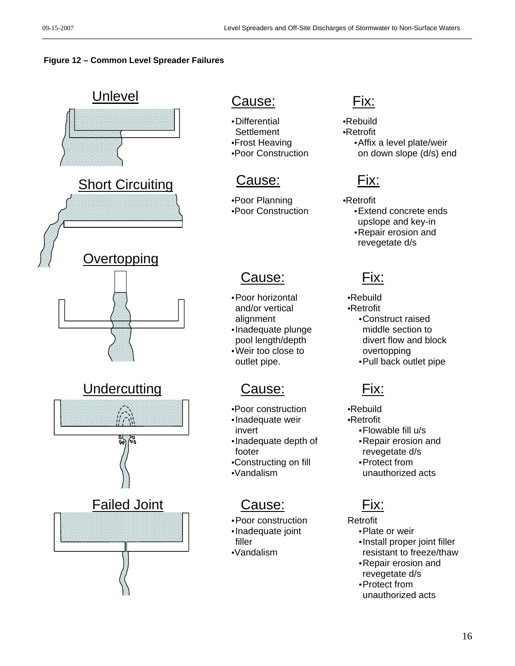### **Figure 12 – Common Level Spreader Failures**



- Differential
- **Settlement** •Frost Heaving
- •Poor Construction

•Poor Planning •Poor Construction

# Cause: Fix:

- Poor horizontal and/or vertical alignment
- Inadequate plunge pool length/depth
- Weir too close to outlet pipe.

- •Poor construction
- Inadequate weir invert
- Inadequate depth of footer
- •Constructing on fill
- •Vandalism

## Cause: Fix:

- Poor construction
- Inadequate joint filler
- •Vandalism

•Rebuild •Retrofit

• Affix a level plate/weir on down slope (d/s) end

- •Retrofit • Extend concrete ends
	- upslope and key-in • Repair erosion and
	- revegetate d/s

•Rebuild •Retrofit • Construct raised middle section to divert flow and block overtopping

• Pull back outlet pipe

•Rebuild

- •Retrofit
	- Flowable fill u/s
	- Repair erosion and revegetate d/s • Protect from
	- unauthorized acts

Retrofit

- Plate or weir
- Install proper joint filler resistant to freeze/thaw
- Repair erosion and revegetate d/s
- Protect from unauthorized acts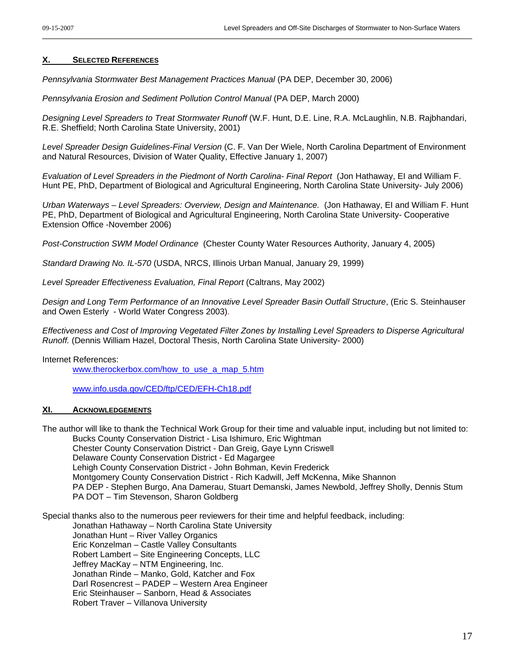#### **X. SELECTED REFERENCES**

*Pennsylvania Stormwater Best Management Practices Manual* (PA DEP, December 30, 2006)

*Pennsylvania Erosion and Sediment Pollution Control Manual* (PA DEP, March 2000)

*Designing Level Spreaders to Treat Stormwater Runoff* (W.F. Hunt, D.E. Line, R.A. McLaughlin, N.B. Rajbhandari, R.E. Sheffield; North Carolina State University, 2001)

*Level Spreader Design Guidelines*-*Final Version* (C. F. Van Der Wiele, North Carolina Department of Environment and Natural Resources, Division of Water Quality, Effective January 1, 2007)

*Evaluation of Level Spreaders in the Piedmont of North Carolina*- *Final Report* (Jon Hathaway, EI and William F. Hunt PE, PhD, Department of Biological and Agricultural Engineering, North Carolina State University- July 2006)

*Urban Waterways – Level Spreaders: Overview, Design and Maintenance.* (Jon Hathaway, EI and William F. Hunt PE, PhD, Department of Biological and Agricultural Engineering, North Carolina State University- Cooperative Extension Office -November 2006)

*Post-Construction SWM Model Ordinance* (Chester County Water Resources Authority, January 4, 2005)

*Standard Drawing No. IL-570* (USDA, NRCS, Illinois Urban Manual, January 29, 1999)

*Level Spreader Effectiveness Evaluation, Final Report* (Caltrans, May 2002)

*Design and Long Term Performance of an Innovative Level Spreader Basin Outfall Structure*, (Eric S. Steinhauser and Owen Esterly - World Water Congress 2003).

*Effectiveness and Cost of Improving Vegetated Filter Zones by Installing Level Spreaders to Disperse Agricultural Runoff.* (Dennis William Hazel, Doctoral Thesis, North Carolina State University- 2000)

#### Internet References:

[www.therockerbox.com/how\\_to\\_use\\_a\\_map\\_5.htm](http://www.therockerbox.com/how_to_use_a_map_5.htm)

[www.info.usda.gov/CED/ftp/CED/EFH-Ch18.pdf](http://www.info.usda.gov/CED/ftp/CED/EFH-Ch18.pdf)

#### **XI. ACKNOWLEDGEMENTS**

The author will like to thank the Technical Work Group for their time and valuable input, including but not limited to: Bucks County Conservation District - Lisa Ishimuro, Eric Wightman Chester County Conservation District - Dan Greig, Gaye Lynn Criswell Delaware County Conservation District - Ed Magargee Lehigh County Conservation District - John Bohman, Kevin Frederick Montgomery County Conservation District - Rich Kadwill, Jeff McKenna, Mike Shannon PA DEP - Stephen Burgo, Ana Damerau, Stuart Demanski, James Newbold, Jeffrey Sholly, Dennis Stum PA DOT – Tim Stevenson, Sharon Goldberg

Special thanks also to the numerous peer reviewers for their time and helpful feedback, including:

Jonathan Hathaway – North Carolina State University

Jonathan Hunt – River Valley Organics

Eric Konzelman – Castle Valley Consultants Robert Lambert – Site Engineering Concepts, LLC

Jeffrey MacKay – NTM Engineering, Inc.

Jonathan Rinde – Manko, Gold, Katcher and Fox

Darl Rosencrest – PADEP – Western Area Engineer

Eric Steinhauser – Sanborn, Head & Associates

Robert Traver – Villanova University